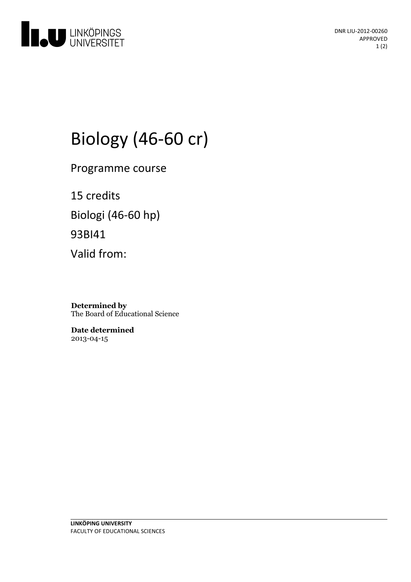

DNR LIU-2012-00260 APPROVED 1 (2)

# Biology (46-60 cr)

Programme course

15 credits Biologi (46-60 hp) 93BI41 Valid from:

**Determined by** The Board of Educational Science

**Date determined** 2013-04-15